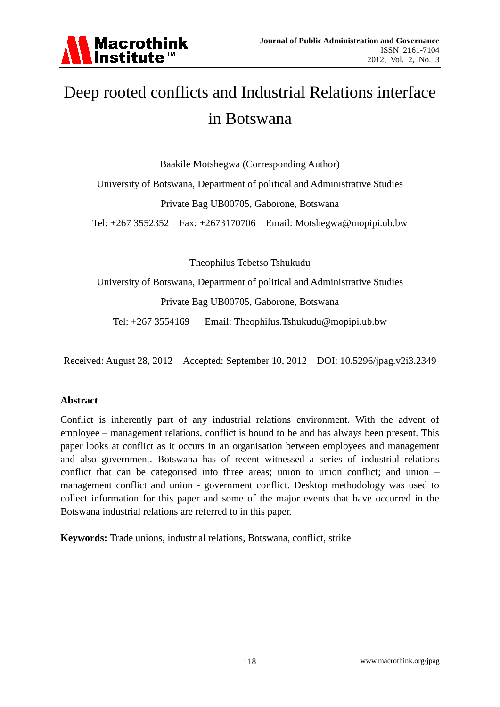

# Deep rooted conflicts and Industrial Relations interface in Botswana

Baakile Motshegwa (Corresponding Author)

University of Botswana, Department of political and Administrative Studies Private Bag UB00705, Gaborone, Botswana

Tel: +267 3552352 Fax: +2673170706 Email: Motshegwa@mopipi.ub.bw

Theophilus Tebetso Tshukudu

University of Botswana, Department of political and Administrative Studies Private Bag UB00705, Gaborone, Botswana Tel: +267 3554169 Email: [Theophilus.Tshukudu@mopipi.ub.bw](mailto:Motshegwa@mopipi.ub.bw)

Received: August 28, 2012 Accepted: September 10, 2012 DOI: 10.5296/jpag.v2i3.2349

#### **Abstract**

Conflict is inherently part of any industrial relations environment. With the advent of employee – management relations, conflict is bound to be and has always been present. This paper looks at conflict as it occurs in an organisation between employees and management and also government. Botswana has of recent witnessed a series of industrial relations conflict that can be categorised into three areas; union to union conflict; and union – management conflict and union - government conflict. Desktop methodology was used to collect information for this paper and some of the major events that have occurred in the Botswana industrial relations are referred to in this paper.

**Keywords:** Trade unions, industrial relations, Botswana, conflict, strike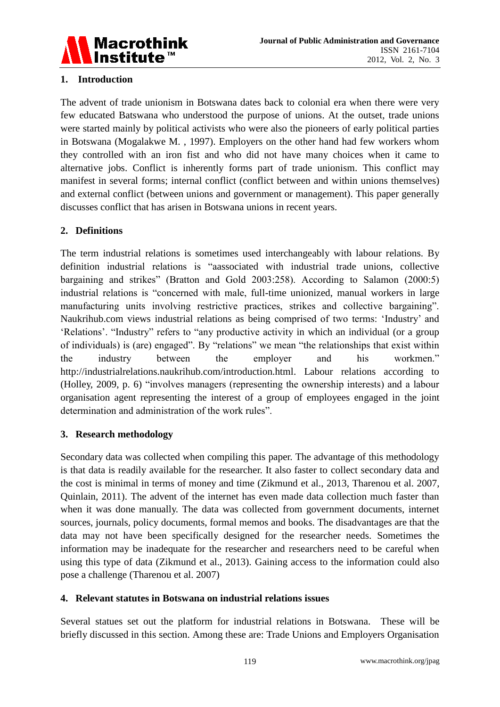

# **1. Introduction**

The advent of trade unionism in Botswana dates back to colonial era when there were very few educated Batswana who understood the purpose of unions. At the outset, trade unions were started mainly by political activists who were also the pioneers of early political parties in Botswana (Mogalakwe M. , 1997). Employers on the other hand had few workers whom they controlled with an iron fist and who did not have many choices when it came to alternative jobs. Conflict is inherently forms part of trade unionism. This conflict may manifest in several forms; internal conflict (conflict between and within unions themselves) and external conflict (between unions and government or management). This paper generally discusses conflict that has arisen in Botswana unions in recent years.

# **2. Definitions**

The term industrial relations is sometimes used interchangeably with labour relations. By definition industrial relations is "aassociated with industrial trade unions, collective bargaining and strikes" (Bratton and Gold 2003:258). According to Salamon (2000:5) industrial relations is "concerned with male, full-time unionized, manual workers in large manufacturing units involving restrictive practices, strikes and collective bargaining". Naukrihub.com views industrial relations as being comprised of two terms: "Industry" and "Relations". "Industry" refers to "any productive activity in which an individual (or a group of individuals) is (are) engaged". By "relations" we mean "the relationships that exist within the industry between the employer and his workmen." http://industrialrelations.naukrihub.com/introduction.html. Labour relations according to (Holley, 2009, p. 6) "involves managers (representing the ownership interests) and a labour organisation agent representing the interest of a group of employees engaged in the joint determination and administration of the work rules".

# **3. Research methodology**

Secondary data was collected when compiling this paper. The advantage of this methodology is that data is readily available for the researcher. It also faster to collect secondary data and the cost is minimal in terms of money and time (Zikmund et al., 2013, Tharenou et al. 2007, Quinlain, 2011). The advent of the internet has even made data collection much faster than when it was done manually. The data was collected from government documents, internet sources, journals, policy documents, formal memos and books. The disadvantages are that the data may not have been specifically designed for the researcher needs. Sometimes the information may be inadequate for the researcher and researchers need to be careful when using this type of data (Zikmund et al., 2013). Gaining access to the information could also pose a challenge (Tharenou et al. 2007)

#### **4. Relevant statutes in Botswana on industrial relations issues**

Several statues set out the platform for industrial relations in Botswana. These will be briefly discussed in this section. Among these are: Trade Unions and Employers Organisation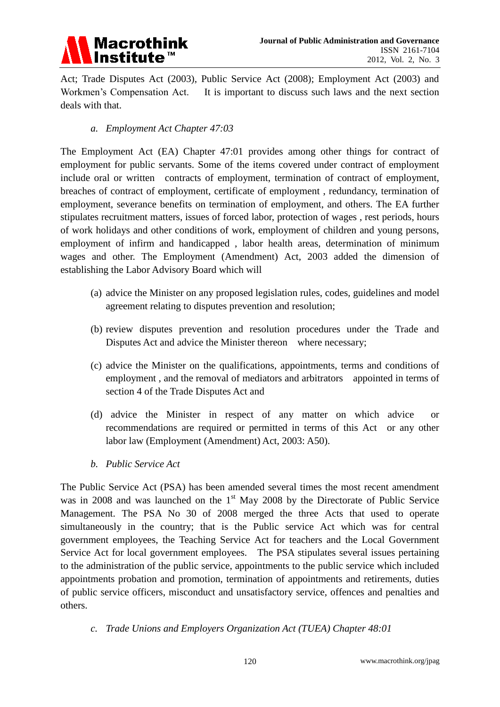

Act; Trade Disputes Act (2003), Public Service Act (2008); Employment Act (2003) and Workmen's Compensation Act. It is important to discuss such laws and the next section deals with that.

*a. Employment Act Chapter 47:03* 

The Employment Act (EA) Chapter 47:01 provides among other things for contract of employment for public servants. Some of the items covered under contract of employment include oral or written contracts of employment, termination of contract of employment, breaches of contract of employment, certificate of employment , redundancy, termination of employment, severance benefits on termination of employment, and others. The EA further stipulates recruitment matters, issues of forced labor, protection of wages , rest periods, hours of work holidays and other conditions of work, employment of children and young persons, employment of infirm and handicapped , labor health areas, determination of minimum wages and other. The Employment (Amendment) Act, 2003 added the dimension of establishing the Labor Advisory Board which will

- (a) advice the Minister on any proposed legislation rules, codes, guidelines and model agreement relating to disputes prevention and resolution;
- (b) review disputes prevention and resolution procedures under the Trade and Disputes Act and advice the Minister thereon where necessary;
- (c) advice the Minister on the qualifications, appointments, terms and conditions of employment , and the removal of mediators and arbitrators appointed in terms of section 4 of the Trade Disputes Act and
- (d) advice the Minister in respect of any matter on which advice or recommendations are required or permitted in terms of this Act or any other labor law (Employment (Amendment) Act, 2003: A50).
- *b. Public Service Act*

The Public Service Act (PSA) has been amended several times the most recent amendment was in 2008 and was launched on the 1<sup>st</sup> May 2008 by the Directorate of Public Service Management. The PSA No 30 of 2008 merged the three Acts that used to operate simultaneously in the country; that is the Public service Act which was for central government employees, the Teaching Service Act for teachers and the Local Government Service Act for local government employees. The PSA stipulates several issues pertaining to the administration of the public service, appointments to the public service which included appointments probation and promotion, termination of appointments and retirements, duties of public service officers, misconduct and unsatisfactory service, offences and penalties and others.

*c. Trade Unions and Employers Organization Act (TUEA) Chapter 48:01*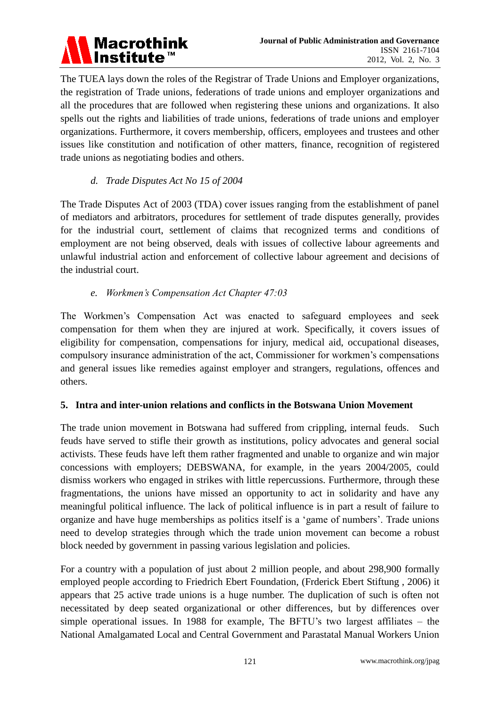

The TUEA lays down the roles of the Registrar of Trade Unions and Employer organizations, the registration of Trade unions, federations of trade unions and employer organizations and all the procedures that are followed when registering these unions and organizations. It also spells out the rights and liabilities of trade unions, federations of trade unions and employer organizations. Furthermore, it covers membership, officers, employees and trustees and other issues like constitution and notification of other matters, finance, recognition of registered trade unions as negotiating bodies and others.

# *d. Trade Disputes Act No 15 of 2004*

The Trade Disputes Act of 2003 (TDA) cover issues ranging from the establishment of panel of mediators and arbitrators, procedures for settlement of trade disputes generally, provides for the industrial court, settlement of claims that recognized terms and conditions of employment are not being observed, deals with issues of collective labour agreements and unlawful industrial action and enforcement of collective labour agreement and decisions of the industrial court.

# *e. Workmen's Compensation Act Chapter 47:03*

The Workmen's Compensation Act was enacted to safeguard employees and seek compensation for them when they are injured at work. Specifically, it covers issues of eligibility for compensation, compensations for injury, medical aid, occupational diseases, compulsory insurance administration of the act, Commissioner for workmen"s compensations and general issues like remedies against employer and strangers, regulations, offences and others.

#### **5. Intra and inter-union relations and conflicts in the Botswana Union Movement**

The trade union movement in Botswana had suffered from crippling, internal feuds. Such feuds have served to stifle their growth as institutions, policy advocates and general social activists. These feuds have left them rather fragmented and unable to organize and win major concessions with employers; DEBSWANA, for example, in the years 2004/2005, could dismiss workers who engaged in strikes with little repercussions. Furthermore, through these fragmentations, the unions have missed an opportunity to act in solidarity and have any meaningful political influence. The lack of political influence is in part a result of failure to organize and have huge memberships as politics itself is a "game of numbers". Trade unions need to develop strategies through which the trade union movement can become a robust block needed by government in passing various legislation and policies.

For a country with a population of just about 2 million people, and about 298,900 formally employed people according to Friedrich Ebert Foundation, (Frderick Ebert Stiftung , 2006) it appears that 25 active trade unions is a huge number. The duplication of such is often not necessitated by deep seated organizational or other differences, but by differences over simple operational issues. In 1988 for example, The BFTU's two largest affiliates  $-$  the National Amalgamated Local and Central Government and Parastatal Manual Workers Union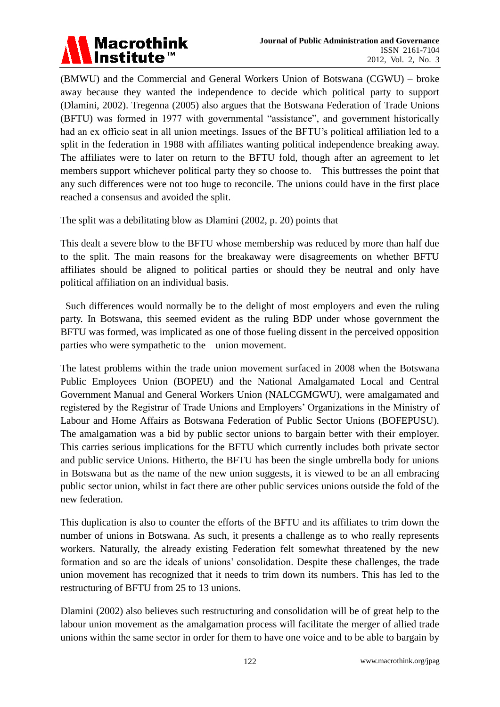

(BMWU) and the Commercial and General Workers Union of Botswana (CGWU) – broke away because they wanted the independence to decide which political party to support (Dlamini, 2002). Tregenna (2005) also argues that the Botswana Federation of Trade Unions (BFTU) was formed in 1977 with governmental "assistance", and government historically had an ex officio seat in all union meetings. Issues of the BFTU"s political affiliation led to a split in the federation in 1988 with affiliates wanting political independence breaking away. The affiliates were to later on return to the BFTU fold, though after an agreement to let members support whichever political party they so choose to. This buttresses the point that any such differences were not too huge to reconcile. The unions could have in the first place reached a consensus and avoided the split.

The split was a debilitating blow as Dlamini (2002, p. 20) points that

This dealt a severe blow to the BFTU whose membership was reduced by more than half due to the split. The main reasons for the breakaway were disagreements on whether BFTU affiliates should be aligned to political parties or should they be neutral and only have political affiliation on an individual basis.

Such differences would normally be to the delight of most employers and even the ruling party. In Botswana, this seemed evident as the ruling BDP under whose government the BFTU was formed, was implicated as one of those fueling dissent in the perceived opposition parties who were sympathetic to the union movement.

The latest problems within the trade union movement surfaced in 2008 when the Botswana Public Employees Union (BOPEU) and the National Amalgamated Local and Central Government Manual and General Workers Union (NALCGMGWU), were amalgamated and registered by the Registrar of Trade Unions and Employers" Organizations in the Ministry of Labour and Home Affairs as Botswana Federation of Public Sector Unions (BOFEPUSU). The amalgamation was a bid by public sector unions to bargain better with their employer. This carries serious implications for the BFTU which currently includes both private sector and public service Unions. Hitherto, the BFTU has been the single umbrella body for unions in Botswana but as the name of the new union suggests, it is viewed to be an all embracing public sector union, whilst in fact there are other public services unions outside the fold of the new federation.

This duplication is also to counter the efforts of the BFTU and its affiliates to trim down the number of unions in Botswana. As such, it presents a challenge as to who really represents workers. Naturally, the already existing Federation felt somewhat threatened by the new formation and so are the ideals of unions" consolidation. Despite these challenges, the trade union movement has recognized that it needs to trim down its numbers. This has led to the restructuring of BFTU from 25 to 13 unions.

Dlamini (2002) also believes such restructuring and consolidation will be of great help to the labour union movement as the amalgamation process will facilitate the merger of allied trade unions within the same sector in order for them to have one voice and to be able to bargain by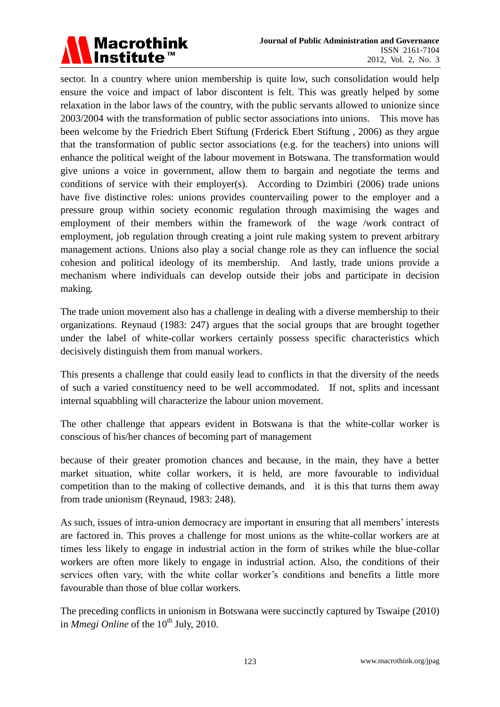

sector. In a country where union membership is quite low, such consolidation would help ensure the voice and impact of labor discontent is felt. This was greatly helped by some relaxation in the labor laws of the country, with the public servants allowed to unionize since 2003/2004 with the transformation of public sector associations into unions. This move has been welcome by the Friedrich Ebert Stiftung (Frderick Ebert Stiftung , 2006) as they argue that the transformation of public sector associations (e.g. for the teachers) into unions will enhance the political weight of the labour movement in Botswana. The transformation would give unions a voice in government, allow them to bargain and negotiate the terms and conditions of service with their employer(s). According to Dzimbiri (2006) trade unions have five distinctive roles: unions provides countervailing power to the employer and a pressure group within society economic regulation through maximising the wages and employment of their members within the framework of the wage /work contract of employment, job regulation through creating a joint rule making system to prevent arbitrary management actions. Unions also play a social change role as they can influence the social cohesion and political ideology of its membership. And lastly, trade unions provide a mechanism where individuals can develop outside their jobs and participate in decision making.

The trade union movement also has a challenge in dealing with a diverse membership to their organizations. Reynaud (1983: 247) argues that the social groups that are brought together under the label of white-collar workers certainly possess specific characteristics which decisively distinguish them from manual workers.

This presents a challenge that could easily lead to conflicts in that the diversity of the needs of such a varied constituency need to be well accommodated. If not, splits and incessant internal squabbling will characterize the labour union movement.

The other challenge that appears evident in Botswana is that the white-collar worker is conscious of his/her chances of becoming part of management

because of their greater promotion chances and because, in the main, they have a better market situation, white collar workers, it is held, are more favourable to individual competition than to the making of collective demands, and it is this that turns them away from trade unionism (Reynaud, 1983: 248).

As such, issues of intra-union democracy are important in ensuring that all members' interests are factored in. This proves a challenge for most unions as the white-collar workers are at times less likely to engage in industrial action in the form of strikes while the blue-collar workers are often more likely to engage in industrial action. Also, the conditions of their services often vary, with the white collar worker's conditions and benefits a little more favourable than those of blue collar workers.

The preceding conflicts in unionism in Botswana were succinctly captured by Tswaipe (2010) in *Mmegi Online* of the  $10^{th}$  July, 2010.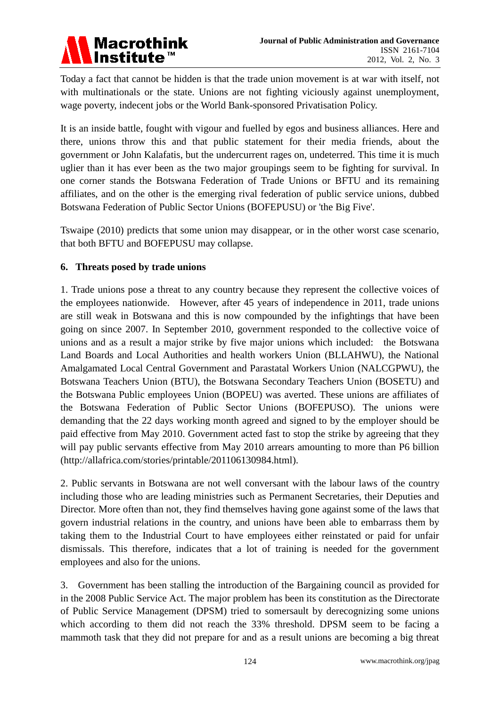

Today a fact that cannot be hidden is that the trade union movement is at war with itself, not with multinationals or the state. Unions are not fighting viciously against unemployment, wage poverty, indecent jobs or the World Bank-sponsored Privatisation Policy.

It is an inside battle, fought with vigour and fuelled by egos and business alliances. Here and there, unions throw this and that public statement for their media friends, about the government or John Kalafatis, but the undercurrent rages on, undeterred. This time it is much uglier than it has ever been as the two major groupings seem to be fighting for survival. In one corner stands the Botswana Federation of Trade Unions or BFTU and its remaining affiliates, and on the other is the emerging rival federation of public service unions, dubbed Botswana Federation of Public Sector Unions (BOFEPUSU) or 'the Big Five'.

Tswaipe (2010) predicts that some union may disappear, or in the other worst case scenario, that both BFTU and BOFEPUSU may collapse.

#### **6. Threats posed by trade unions**

1. Trade unions pose a threat to any country because they represent the collective voices of the employees nationwide. However, after 45 years of independence in 2011, trade unions are still weak in Botswana and this is now compounded by the infightings that have been going on since 2007. In September 2010, government responded to the collective voice of unions and as a result a major strike by five major unions which included: the Botswana Land Boards and Local Authorities and health workers Union (BLLAHWU), the National Amalgamated Local Central Government and Parastatal Workers Union (NALCGPWU), the Botswana Teachers Union (BTU), the Botswana Secondary Teachers Union (BOSETU) and the Botswana Public employees Union (BOPEU) was averted. These unions are affiliates of the Botswana Federation of Public Sector Unions (BOFEPUSO). The unions were demanding that the 22 days working month agreed and signed to by the employer should be paid effective from May 2010. Government acted fast to stop the strike by agreeing that they will pay public servants effective from May 2010 arrears amounting to more than P6 billion (http://allafrica.com/stories/printable/201106130984.html).

2. Public servants in Botswana are not well conversant with the labour laws of the country including those who are leading ministries such as Permanent Secretaries, their Deputies and Director. More often than not, they find themselves having gone against some of the laws that govern industrial relations in the country, and unions have been able to embarrass them by taking them to the Industrial Court to have employees either reinstated or paid for unfair dismissals. This therefore, indicates that a lot of training is needed for the government employees and also for the unions.

3. Government has been stalling the introduction of the Bargaining council as provided for in the 2008 Public Service Act. The major problem has been its constitution as the Directorate of Public Service Management (DPSM) tried to somersault by derecognizing some unions which according to them did not reach the 33% threshold. DPSM seem to be facing a mammoth task that they did not prepare for and as a result unions are becoming a big threat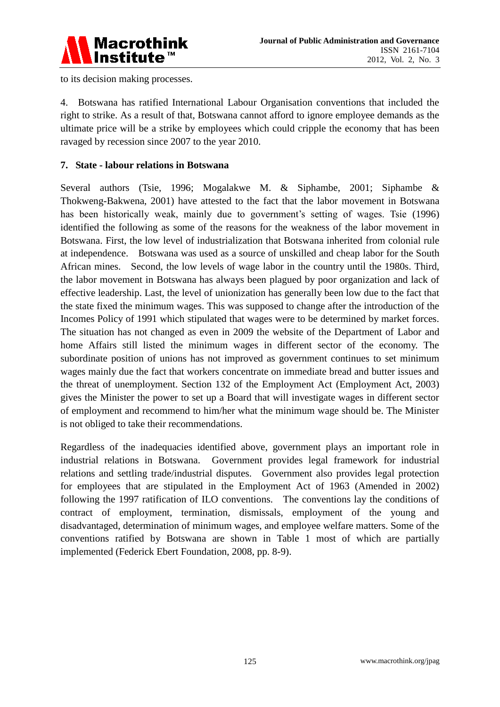

to its decision making processes.

4. Botswana has ratified International Labour Organisation conventions that included the right to strike. As a result of that, Botswana cannot afford to ignore employee demands as the ultimate price will be a strike by employees which could cripple the economy that has been ravaged by recession since 2007 to the year 2010.

# **7. State - labour relations in Botswana**

Several authors (Tsie, 1996; Mogalakwe M. & Siphambe, 2001; Siphambe & Thokweng-Bakwena, 2001) have attested to the fact that the labor movement in Botswana has been historically weak, mainly due to government's setting of wages. Tsie (1996) identified the following as some of the reasons for the weakness of the labor movement in Botswana. First, the low level of industrialization that Botswana inherited from colonial rule at independence. Botswana was used as a source of unskilled and cheap labor for the South African mines. Second, the low levels of wage labor in the country until the 1980s. Third, the labor movement in Botswana has always been plagued by poor organization and lack of effective leadership. Last, the level of unionization has generally been low due to the fact that the state fixed the minimum wages. This was supposed to change after the introduction of the Incomes Policy of 1991 which stipulated that wages were to be determined by market forces. The situation has not changed as even in 2009 the website of the Department of Labor and home Affairs still listed the minimum wages in different sector of the economy. The subordinate position of unions has not improved as government continues to set minimum wages mainly due the fact that workers concentrate on immediate bread and butter issues and the threat of unemployment. Section 132 of the Employment Act (Employment Act, 2003) gives the Minister the power to set up a Board that will investigate wages in different sector of employment and recommend to him/her what the minimum wage should be. The Minister is not obliged to take their recommendations.

Regardless of the inadequacies identified above, government plays an important role in industrial relations in Botswana. Government provides legal framework for industrial relations and settling trade/industrial disputes. Government also provides legal protection for employees that are stipulated in the Employment Act of 1963 (Amended in 2002) following the 1997 ratification of ILO conventions. The conventions lay the conditions of contract of employment, termination, dismissals, employment of the young and disadvantaged, determination of minimum wages, and employee welfare matters. Some of the conventions ratified by Botswana are shown in Table 1 most of which are partially implemented (Federick Ebert Foundation, 2008, pp. 8-9).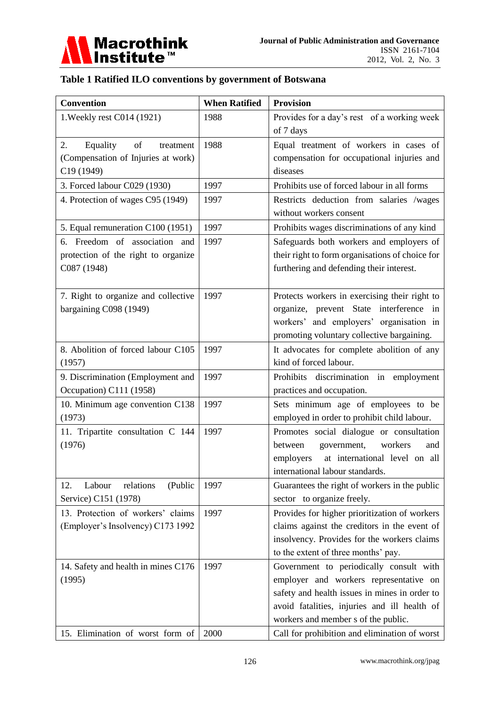

# **Table 1 Ratified ILO conventions by government of Botswana**

| <b>Convention</b>                     | <b>When Ratified</b> | <b>Provision</b>                                |  |  |
|---------------------------------------|----------------------|-------------------------------------------------|--|--|
| 1. Weekly rest C014 (1921)            | 1988                 | Provides for a day's rest of a working week     |  |  |
|                                       |                      | of 7 days                                       |  |  |
| 2.<br>Equality<br>of<br>treatment     | 1988                 | Equal treatment of workers in cases of          |  |  |
| (Compensation of Injuries at work)    |                      | compensation for occupational injuries and      |  |  |
| C19 (1949)                            |                      | diseases                                        |  |  |
| 3. Forced labour C029 (1930)          | 1997                 | Prohibits use of forced labour in all forms     |  |  |
| 4. Protection of wages C95 (1949)     | 1997                 | Restricts deduction from salaries /wages        |  |  |
|                                       |                      | without workers consent                         |  |  |
| 5. Equal remuneration C100 (1951)     | 1997                 | Prohibits wages discriminations of any kind     |  |  |
| 6. Freedom of association and         | 1997                 | Safeguards both workers and employers of        |  |  |
| protection of the right to organize   |                      | their right to form organisations of choice for |  |  |
| C087 (1948)                           |                      | furthering and defending their interest.        |  |  |
|                                       |                      |                                                 |  |  |
| 7. Right to organize and collective   | 1997                 | Protects workers in exercising their right to   |  |  |
| bargaining C098 (1949)                |                      | organize, prevent State interference<br>in      |  |  |
|                                       |                      | workers' and employers' organisation in         |  |  |
|                                       |                      | promoting voluntary collective bargaining.      |  |  |
| 8. Abolition of forced labour C105    | 1997                 | It advocates for complete abolition of any      |  |  |
| (1957)                                |                      | kind of forced labour.                          |  |  |
| 9. Discrimination (Employment and     | 1997                 | Prohibits discrimination in employment          |  |  |
| Occupation) C111 (1958)               |                      | practices and occupation.                       |  |  |
| 10. Minimum age convention C138       | 1997                 | Sets minimum age of employees to be             |  |  |
| (1973)                                |                      | employed in order to prohibit child labour.     |  |  |
| 11. Tripartite consultation C 144     | 1997                 | Promotes social dialogue or consultation        |  |  |
| (1976)                                |                      | government,<br>workers<br>between<br>and        |  |  |
|                                       |                      | at international level on all<br>employers      |  |  |
|                                       |                      | international labour standards.                 |  |  |
| Labour<br>relations<br>(Public<br>12. | 1997                 | Guarantees the right of workers in the public   |  |  |
| Service) C151 (1978)                  |                      | sector to organize freely.                      |  |  |
| 13. Protection of workers' claims     | 1997                 | Provides for higher prioritization of workers   |  |  |
| (Employer's Insolvency) C173 1992     |                      | claims against the creditors in the event of    |  |  |
|                                       |                      | insolvency. Provides for the workers claims     |  |  |
|                                       |                      | to the extent of three months' pay.             |  |  |
| 14. Safety and health in mines C176   | 1997                 | Government to periodically consult with         |  |  |
| (1995)                                |                      | employer and workers representative on          |  |  |
|                                       |                      | safety and health issues in mines in order to   |  |  |
|                                       |                      | avoid fatalities, injuries and ill health of    |  |  |
|                                       |                      | workers and member s of the public.             |  |  |
| 15. Elimination of worst form of      | 2000                 | Call for prohibition and elimination of worst   |  |  |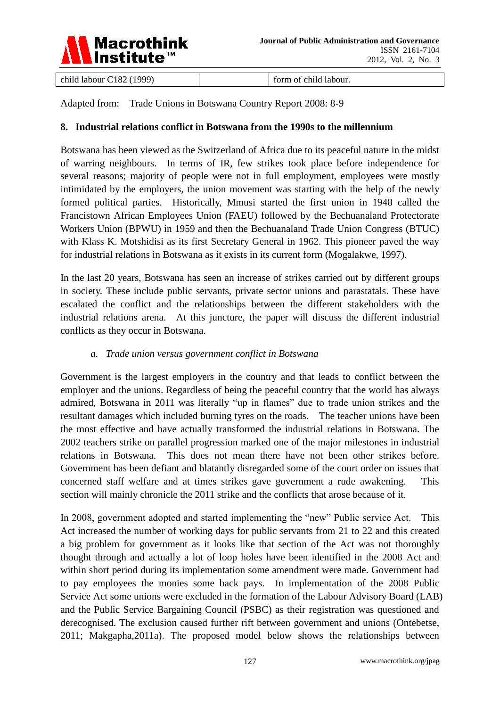

| child labour $C182$ (1999) |  |  |
|----------------------------|--|--|
|                            |  |  |

form of child labour.

Adapted from: Trade Unions in Botswana Country Report 2008: 8-9

# **8. Industrial relations conflict in Botswana from the 1990s to the millennium**

Botswana has been viewed as the Switzerland of Africa due to its peaceful nature in the midst of warring neighbours. In terms of IR, few strikes took place before independence for several reasons; majority of people were not in full employment, employees were mostly intimidated by the employers, the union movement was starting with the help of the newly formed political parties. Historically, Mmusi started the first union in 1948 called the Francistown African Employees Union (FAEU) followed by the Bechuanaland Protectorate Workers Union (BPWU) in 1959 and then the Bechuanaland Trade Union Congress (BTUC) with Klass K. Motshidisi as its first Secretary General in 1962. This pioneer paved the way for industrial relations in Botswana as it exists in its current form (Mogalakwe, 1997).

In the last 20 years, Botswana has seen an increase of strikes carried out by different groups in society. These include public servants, private sector unions and parastatals. These have escalated the conflict and the relationships between the different stakeholders with the industrial relations arena. At this juncture, the paper will discuss the different industrial conflicts as they occur in Botswana.

# *a. Trade union versus government conflict in Botswana*

Government is the largest employers in the country and that leads to conflict between the employer and the unions. Regardless of being the peaceful country that the world has always admired, Botswana in 2011 was literally "up in flames" due to trade union strikes and the resultant damages which included burning tyres on the roads. The teacher unions have been the most effective and have actually transformed the industrial relations in Botswana. The 2002 teachers strike on parallel progression marked one of the major milestones in industrial relations in Botswana. This does not mean there have not been other strikes before. Government has been defiant and blatantly disregarded some of the court order on issues that concerned staff welfare and at times strikes gave government a rude awakening. This section will mainly chronicle the 2011 strike and the conflicts that arose because of it.

In 2008, government adopted and started implementing the "new" Public service Act. This Act increased the number of working days for public servants from 21 to 22 and this created a big problem for government as it looks like that section of the Act was not thoroughly thought through and actually a lot of loop holes have been identified in the 2008 Act and within short period during its implementation some amendment were made. Government had to pay employees the monies some back pays. In implementation of the 2008 Public Service Act some unions were excluded in the formation of the Labour Advisory Board (LAB) and the Public Service Bargaining Council (PSBC) as their registration was questioned and derecognised. The exclusion caused further rift between government and unions (Ontebetse, 2011; Makgapha,2011a). The proposed model below shows the relationships between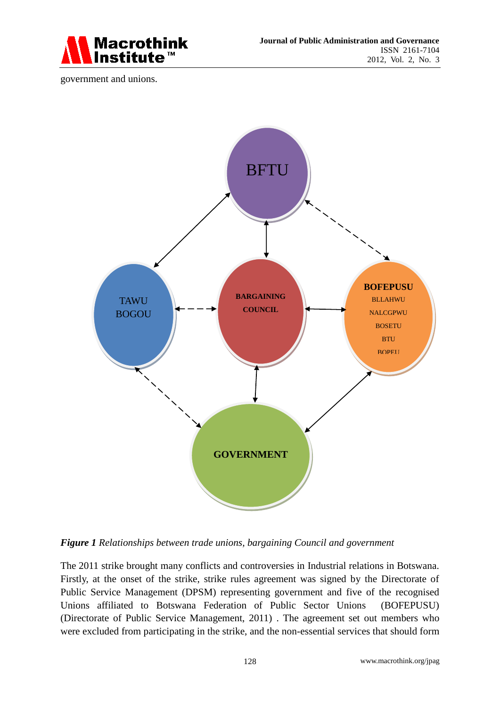

government and unions.



*Figure 1 Relationships between trade unions, bargaining Council and government*

The 2011 strike brought many conflicts and controversies in Industrial relations in Botswana. Firstly, at the onset of the strike, strike rules agreement was signed by the Directorate of Public Service Management (DPSM) representing government and five of the recognised Unions affiliated to Botswana Federation of Public Sector Unions (BOFEPUSU) (Directorate of Public Service Management, 2011) . The agreement set out members who were excluded from participating in the strike, and the non-essential services that should form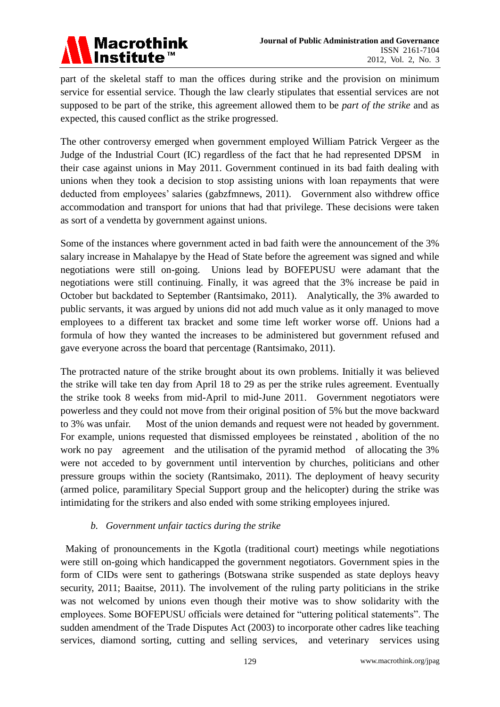

part of the skeletal staff to man the offices during strike and the provision on minimum service for essential service. Though the law clearly stipulates that essential services are not supposed to be part of the strike, this agreement allowed them to be *part of the strike* and as expected, this caused conflict as the strike progressed.

The other controversy emerged when government employed William Patrick Vergeer as the Judge of the Industrial Court (IC) regardless of the fact that he had represented DPSM in their case against unions in May 2011. Government continued in its bad faith dealing with unions when they took a decision to stop assisting unions with loan repayments that were deducted from employees' salaries (gabzfmnews, 2011). Government also withdrew office accommodation and transport for unions that had that privilege. These decisions were taken as sort of a vendetta by government against unions.

Some of the instances where government acted in bad faith were the announcement of the 3% salary increase in Mahalapye by the Head of State before the agreement was signed and while negotiations were still on-going. Unions lead by BOFEPUSU were adamant that the negotiations were still continuing. Finally, it was agreed that the 3% increase be paid in October but backdated to September (Rantsimako, 2011). Analytically, the 3% awarded to public servants, it was argued by unions did not add much value as it only managed to move employees to a different tax bracket and some time left worker worse off. Unions had a formula of how they wanted the increases to be administered but government refused and gave everyone across the board that percentage (Rantsimako, 2011).

The protracted nature of the strike brought about its own problems. Initially it was believed the strike will take ten day from April 18 to 29 as per the strike rules agreement. Eventually the strike took 8 weeks from mid-April to mid-June 2011. Government negotiators were powerless and they could not move from their original position of 5% but the move backward to 3% was unfair. Most of the union demands and request were not headed by government. For example, unions requested that dismissed employees be reinstated , abolition of the no work no pay agreement and the utilisation of the pyramid method of allocating the 3% were not acceded to by government until intervention by churches, politicians and other pressure groups within the society (Rantsimako, 2011). The deployment of heavy security (armed police, paramilitary Special Support group and the helicopter) during the strike was intimidating for the strikers and also ended with some striking employees injured.

# *b. Government unfair tactics during the strike*

Making of pronouncements in the Kgotla (traditional court) meetings while negotiations were still on-going which handicapped the government negotiators. Government spies in the form of CIDs were sent to gatherings (Botswana strike suspended as state deploys heavy security, 2011; Baaitse, 2011). The involvement of the ruling party politicians in the strike was not welcomed by unions even though their motive was to show solidarity with the employees. Some BOFEPUSU officials were detained for "uttering political statements". The sudden amendment of the Trade Disputes Act (2003) to incorporate other cadres like teaching services, diamond sorting, cutting and selling services, and veterinary services using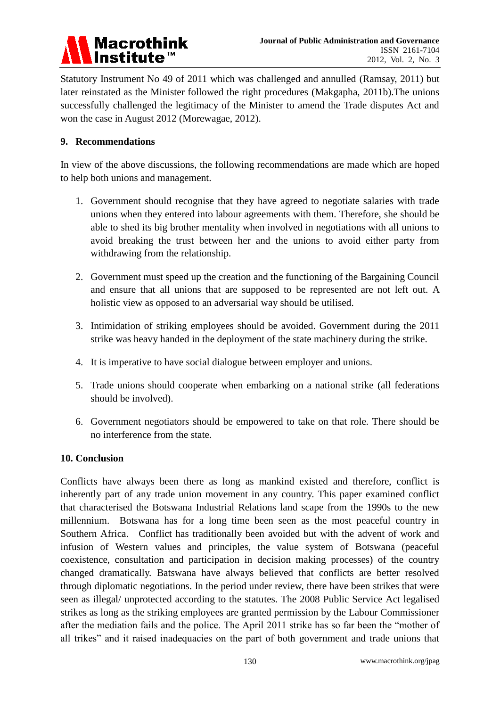

Statutory Instrument No 49 of 2011 which was challenged and annulled (Ramsay, 2011) but later reinstated as the Minister followed the right procedures (Makgapha, 2011b).The unions successfully challenged the legitimacy of the Minister to amend the Trade disputes Act and won the case in August 2012 (Morewagae, 2012).

## **9. Recommendations**

In view of the above discussions, the following recommendations are made which are hoped to help both unions and management.

- 1. Government should recognise that they have agreed to negotiate salaries with trade unions when they entered into labour agreements with them. Therefore, she should be able to shed its big brother mentality when involved in negotiations with all unions to avoid breaking the trust between her and the unions to avoid either party from withdrawing from the relationship.
- 2. Government must speed up the creation and the functioning of the Bargaining Council and ensure that all unions that are supposed to be represented are not left out. A holistic view as opposed to an adversarial way should be utilised.
- 3. Intimidation of striking employees should be avoided. Government during the 2011 strike was heavy handed in the deployment of the state machinery during the strike.
- 4. It is imperative to have social dialogue between employer and unions.
- 5. Trade unions should cooperate when embarking on a national strike (all federations should be involved).
- 6. Government negotiators should be empowered to take on that role. There should be no interference from the state.

#### **10. Conclusion**

Conflicts have always been there as long as mankind existed and therefore, conflict is inherently part of any trade union movement in any country. This paper examined conflict that characterised the Botswana Industrial Relations land scape from the 1990s to the new millennium. Botswana has for a long time been seen as the most peaceful country in Southern Africa. Conflict has traditionally been avoided but with the advent of work and infusion of Western values and principles, the value system of Botswana (peaceful coexistence, consultation and participation in decision making processes) of the country changed dramatically. Batswana have always believed that conflicts are better resolved through diplomatic negotiations. In the period under review, there have been strikes that were seen as illegal/ unprotected according to the statutes. The 2008 Public Service Act legalised strikes as long as the striking employees are granted permission by the Labour Commissioner after the mediation fails and the police. The April 2011 strike has so far been the "mother of all trikes" and it raised inadequacies on the part of both government and trade unions that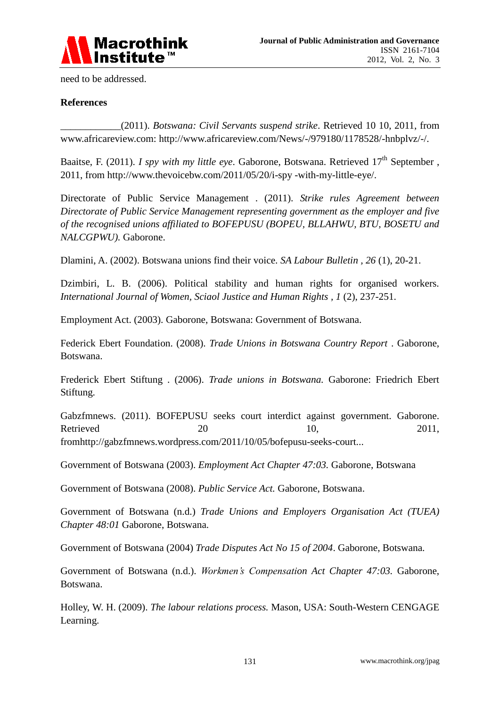

need to be addressed.

#### **References**

\_\_\_\_\_\_\_\_\_\_\_\_(2011). *Botswana: Civil Servants suspend strike*. Retrieved 10 10, 2011, from www.africareview.com: http://www.africareview.com/News/-/979180/1178528/-hnbplvz/-/.

Baaitse, F. (2011). *I spy with my little eye*. Gaborone, Botswana. Retrieved 17<sup>th</sup> September, 2011, from http://www.thevoicebw.com/2011/05/20/i-spy -with-my-little-eye/.

Directorate of Public Service Management . (2011). *Strike rules Agreement between Directorate of Public Service Management representing government as the employer and five of the recognised unions affiliated to BOFEPUSU (BOPEU, BLLAHWU, BTU, BOSETU and NALCGPWU).* Gaborone.

Dlamini, A. (2002). Botswana unions find their voice. *SA Labour Bulletin , 26* (1), 20-21.

Dzimbiri, L. B. (2006). Political stability and human rights for organised workers. *International Journal of Women, Sciaol Justice and Human Rights , 1* (2), 237-251.

Employment Act. (2003). Gaborone, Botswana: Government of Botswana.

Federick Ebert Foundation. (2008). *Trade Unions in Botswana Country Report* . Gaborone, Botswana.

Frederick Ebert Stiftung . (2006). *Trade unions in Botswana.* Gaborone: Friedrich Ebert Stiftung.

Gabzfmnews. (2011). BOFEPUSU seeks court interdict against government. Gaborone. Retrieved 20 2011, fromhttp://gabzfmnews.wordpress.com/2011/10/05/bofepusu-seeks-court...

Government of Botswana (2003). *Employment Act Chapter 47:03.* Gaborone, Botswana

Government of Botswana (2008). *Public Service Act.* Gaborone, Botswana.

Government of Botswana (n.d.) *Trade Unions and Employers Organisation Act (TUEA) Chapter 48:01* Gaborone, Botswana.

Government of Botswana (2004) *Trade Disputes Act No 15 of 2004*. Gaborone, Botswana.

Government of Botswana (n.d.). *Workmen's Compensation Act Chapter 47:03.* Gaborone, Botswana.

Holley, W. H. (2009). *The labour relations process.* Mason, USA: South-Western CENGAGE Learning.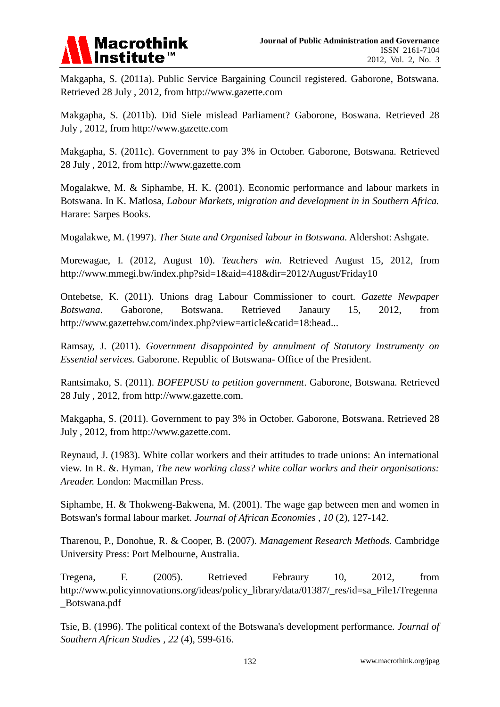

Makgapha, S. (2011a). Public Service Bargaining Council registered. Gaborone, Botswana. Retrieved 28 July , 2012, from http://www.gazette.com

Makgapha, S. (2011b). Did Siele mislead Parliament? Gaborone, Boswana. Retrieved 28 July , 2012, from http://www.gazette.com

Makgapha, S. (2011c). Government to pay 3% in October. Gaborone, Botswana. Retrieved 28 July , 2012, from http://www.gazette.com

Mogalakwe, M. & Siphambe, H. K. (2001). Economic performance and labour markets in Botswana. In K. Matlosa, *Labour Markets, migration and development in in Southern Africa.* Harare: Sarpes Books.

Mogalakwe, M. (1997). *Ther State and Organised labour in Botswana.* Aldershot: Ashgate.

Morewagae, I. (2012, August 10). *Teachers win.* Retrieved August 15, 2012, from http://www.mmegi.bw/index.php?sid=1&aid=418&dir=2012/August/Friday10

Ontebetse, K. (2011). Unions drag Labour Commissioner to court. *Gazette Newpaper Botswana*. Gaborone, Botswana. Retrieved Janaury 15, 2012, from http://www.gazettebw.com/index.php?view=article&catid=18:head...

Ramsay, J. (2011). *Government disappointed by annulment of Statutory Instrumenty on Essential services.* Gaborone. Republic of Botswana- Office of the President.

Rantsimako, S. (2011). *BOFEPUSU to petition government*. Gaborone, Botswana. Retrieved 28 July , 2012, from http://www.gazette.com.

Makgapha, S. (2011). Government to pay 3% in October. Gaborone, Botswana. Retrieved 28 July , 2012, from http://www.gazette.com.

Reynaud, J. (1983). White collar workers and their attitudes to trade unions: An international view. In R. &. Hyman, *The new working class? white collar workrs and their organisations: Areader.* London: Macmillan Press.

Siphambe, H. & Thokweng-Bakwena, M. (2001). The wage gap between men and women in Botswan's formal labour market. *Journal of African Economies , 10* (2), 127-142.

Tharenou, P., Donohue, R. & Cooper, B. (2007). *Management Research Methods.* Cambridge University Press: Port Melbourne, Australia.

Tregena, F. (2005). Retrieved Febraury 10, 2012, from http://www.policyinnovations.org/ideas/policy\_library/data/01387/\_res/id=sa\_File1/Tregenna \_Botswana.pdf

Tsie, B. (1996). The political context of the Botswana's development performance. *Journal of Southern African Studies , 22* (4), 599-616.